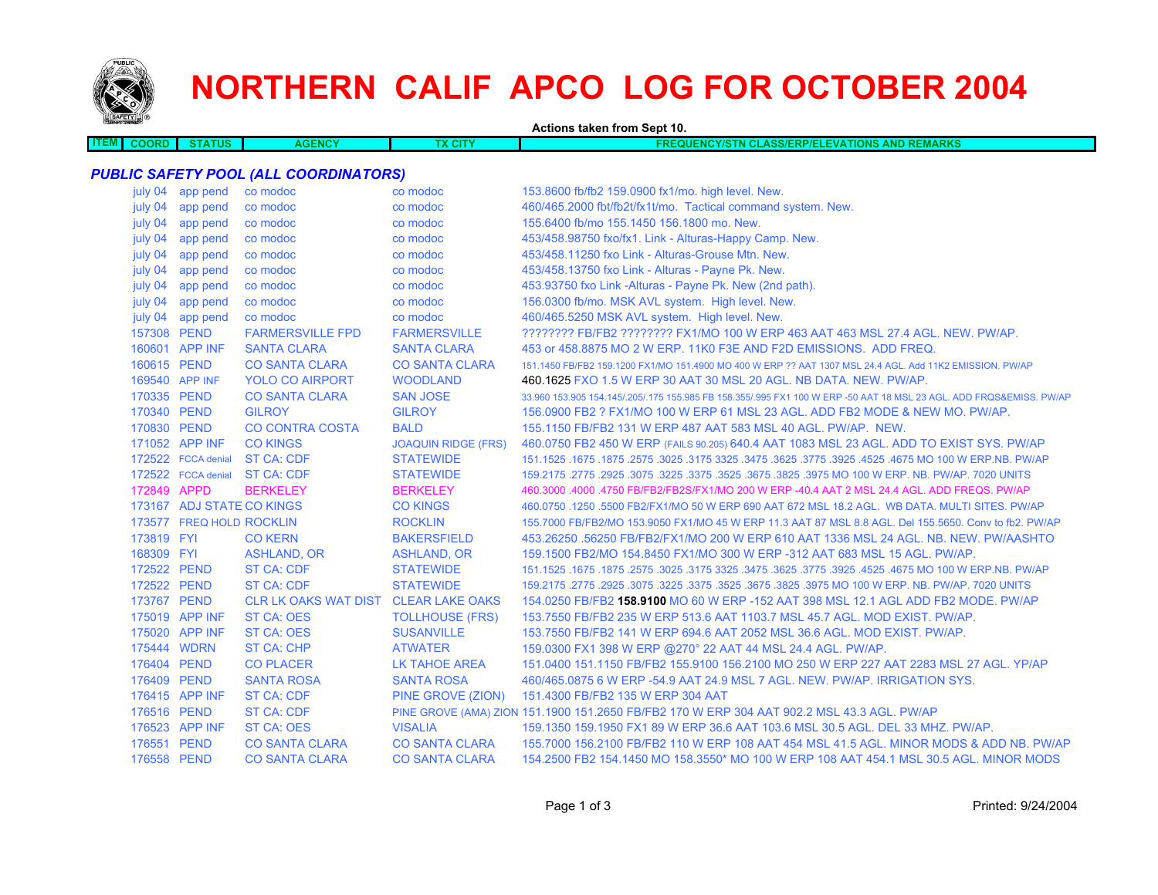

**ITEM**

## **NORTHERN CALIF APCO LOG FOR OCTOBER 2004**

**Actions taken from Sept 10. COORD STATUS AGENCY TX CITY FREQUENCY/STN CLASS/ERP/ELEVATIONS AND REMARKS** *PUBLIC SAFETY POOL (ALL COORDINATORS)* july 04 app pend co modoc co modoc 153.8600 fb/fb2 159.0900 fx1/mo. high level. New. july 04 app pend co modoc co modoc co modoc 460/465.2000 fbt/fb2t/fx1t/mo. Tactical command system. New.

| july 04     | app pend                  | co modoc                             | co modoc                   | 155.6400 fb/mo 155.1450 156.1800 mo. New.                                                                           |
|-------------|---------------------------|--------------------------------------|----------------------------|---------------------------------------------------------------------------------------------------------------------|
| july 04     | app pend                  | co modoc                             | co modoc                   | 453/458.98750 fxo/fx1. Link - Alturas-Happy Camp. New.                                                              |
| july 04     | app pend                  | co modoc                             | co modoc                   | 453/458.11250 fxo Link - Alturas-Grouse Mtn. New.                                                                   |
| july 04     | app pend                  | co modoc                             | co modoc                   | 453/458.13750 fxo Link - Alturas - Payne Pk. New.                                                                   |
| july 04     | app pend                  | co modoc                             | co modoc                   | 453.93750 fxo Link -Alturas - Payne Pk. New (2nd path).                                                             |
| july 04     | app pend                  | co modoc                             | co modoc                   | 156.0300 fb/mo. MSK AVL system. High level. New.                                                                    |
| july 04     | app pend                  | co modoc                             | co modoc                   | 460/465.5250 MSK AVL system. High level. New.                                                                       |
| 157308 PEND |                           | <b>FARMERSVILLE FPD</b>              | <b>FARMERSVILLE</b>        | 22222222 FB/FB2 22222222 FX1/MO 100 W ERP 463 AAT 463 MSL 27.4 AGL, NEW, PW/AP,                                     |
|             | 160601 APP INF            | <b>SANTA CLARA</b>                   | <b>SANTA CLARA</b>         | 453 or 458,8875 MO 2 W ERP, 11K0 F3E AND F2D EMISSIONS. ADD FREQ.                                                   |
| 160615 PEND |                           | <b>CO SANTA CLARA</b>                | <b>CO SANTA CLARA</b>      | 151.1450 FB/FB2 159.1200 FX1/MO 151.4900 MO 400 W ERP ?? AAT 1307 MSL 24.4 AGL. Add 11K2 EMISSION, PW/AP            |
|             | 169540 APP INF            | <b>YOLO CO AIRPORT</b>               | <b>WOODLAND</b>            | 460.1625 FXO 1.5 W ERP 30 AAT 30 MSL 20 AGL, NB DATA, NEW, PW/AP.                                                   |
| 170335 PEND |                           | <b>CO SANTA CLARA</b>                | <b>SAN JOSE</b>            | 33,960 153,905 154,145/.205/.175 155,985 FB 158,355/.995 FX1 100 W ERP -50 AAT 18 MSL 23 AGL. ADD FRQS&EMISS, PW/AP |
| 170340 PEND |                           | <b>GILROY</b>                        | <b>GILROY</b>              | 156,0900 FB2 ? FX1/MO 100 W ERP 61 MSL 23 AGL, ADD FB2 MODE & NEW MO, PW/AP.                                        |
| 170830 PEND |                           | <b>CO CONTRA COSTA</b>               | <b>BALD</b>                | 155,1150 FB/FB2 131 W ERP 487 AAT 583 MSL 40 AGL, PW/AP, NEW.                                                       |
|             | 171052 APP INF            | <b>CO KINGS</b>                      | <b>JOAQUIN RIDGE (FRS)</b> | 460.0750 FB2 450 W ERP (FAILS 90.205) 640.4 AAT 1083 MSL 23 AGL. ADD TO EXIST SYS. PW/AP                            |
|             | 172522 FCCA denial        | <b>ST CA: CDF</b>                    | <b>STATEWIDE</b>           | 167.1525 .1675 .1675 .3625 .3625 .3625 .3775 .3925 .3775 .3925 .3775 .3625 .3625 .1675 .1675 .1675 .1679 .167       |
|             | 172522 FCCA denial        | <b>ST CA: CDF</b>                    | <b>STATEWIDE</b>           | 159.2175 .2775 .2925 .3075 .3225 .3375 .3525 .3675 .3825 .3975 MO 100 W ERP. NB. PW/AP. 7020 UNITS                  |
| 172849 APPD |                           | <b>BERKELEY</b>                      | <b>BERKELEY</b>            | 460.3000 .4000 .4750 FB/FB2/FB2S/FX1/MO 200 W ERP -40.4 AAT 2 MSL 24.4 AGL. ADD FREQS. PW/AP                        |
|             | 173167 ADJ STATE CO KINGS |                                      | <b>CO KINGS</b>            | 460.0750 .1250 .5500 FB2/FX1/MO 50 W ERP 690 AAT 672 MSL 18.2 AGL. WB DATA. MULTI SITES. PW/AP                      |
|             | 173577 FREQ HOLD ROCKLIN  |                                      | <b>ROCKLIN</b>             | 155,7000 FB/FB2/MO 153,9050 FX1/MO 45 W ERP 11.3 AAT 87 MSL 8.8 AGL, Del 155,5650, Conv to fb2, PW/AP               |
| 173819 FYI  |                           | <b>CO KERN</b>                       | <b>BAKERSFIELD</b>         | 453.26250 .56250 FB/FB2/FX1/MO 200 W ERP 610 AAT 1336 MSL 24 AGL. NB. NEW. PW/AASHTO                                |
| 168309 FYI  |                           | <b>ASHLAND, OR</b>                   | <b>ASHLAND, OR</b>         | 159.1500 FB2/MO 154.8450 FX1/MO 300 W ERP -312 AAT 683 MSL 15 AGL, PW/AP.                                           |
| 172522 PEND |                           | <b>ST CA: CDF</b>                    | <b>STATEWIDE</b>           | 151.1525 .1675 .1675 .1675 .2575 .3025 .3475 .3625 .3475 .3625 .3775 .3925 .3775 .4675 MO 100 W ERP.NB. PW/AP       |
| 172522 PEND |                           | <b>ST CA: CDF</b>                    | <b>STATEWIDE</b>           | 159.2175 .2775 .2925 .3075 .3225 .3375 .3525 .3675 .3825 .3975 MO 100 W ERP. NB. PW/AP. 7020 UNITS                  |
| 173767 PEND |                           | CLR LK OAKS WAT DIST CLEAR LAKE OAKS |                            | 154.0250 FB/FB2 158.9100 MO 60 W ERP -152 AAT 398 MSL 12.1 AGL ADD FB2 MODE, PW/AP                                  |
|             | 175019 APP INF            | <b>ST CA: OES</b>                    | <b>TOLLHOUSE (FRS)</b>     | 153.7550 FB/FB2 235 W ERP 513.6 AAT 1103.7 MSL 45.7 AGL, MOD EXIST, PW/AP.                                          |
|             | 175020 APP INF            | <b>ST CA: OES</b>                    | <b>SUSANVILLE</b>          | 153.7550 FB/FB2 141 W ERP 694.6 AAT 2052 MSL 36.6 AGL, MOD EXIST, PW/AP.                                            |
|             | 175444 WDRN               | <b>ST CA: CHP</b>                    | <b>ATWATER</b>             | 159.0300 FX1 398 W ERP @270° 22 AAT 44 MSL 24.4 AGL. PW/AP.                                                         |
| 176404 PEND |                           | <b>CO PLACER</b>                     | LK TAHOE AREA              | 151.0400 151.1150 FB/FB2 155.9100 156.2100 MO 250 W ERP 227 AAT 2283 MSL 27 AGL. YP/AP                              |
| 176409 PEND |                           | <b>SANTA ROSA</b>                    | <b>SANTA ROSA</b>          | 460/465,0875 6 W ERP -54.9 AAT 24.9 MSL 7 AGL, NEW, PW/AP, IRRIGATION SYS.                                          |
|             | 176415 APP INF            | <b>ST CA: CDF</b>                    | PINE GROVE (ZION)          | 151.4300 FB/FB2 135 W ERP 304 AAT                                                                                   |
| 176516 PEND |                           | <b>ST CA: CDF</b>                    |                            | PINE GROVE (AMA) ZION 151.1900 151.2650 FB/FB2 170 W ERP 304 AAT 902.2 MSL 43.3 AGL. PW/AP                          |
|             | 176523 APP INF            | ST CA: OES                           | <b>VISALIA</b>             | 159.1350 159.1950 FX1 89 W ERP 36.6 AAT 103.6 MSL 30.5 AGL. DEL 33 MHZ. PW/AP.                                      |
| 176551 PEND |                           | <b>CO SANTA CLARA</b>                | <b>CO SANTA CLARA</b>      | 155.7000 156.2100 FB/FB2 110 W ERP 108 AAT 454 MSL 41.5 AGL. MINOR MODS & ADD NB. PW/AP                             |
| 176558 PEND |                           | <b>CO SANTA CLARA</b>                | <b>CO SANTA CLARA</b>      | 154,2500 FB2 154,1450 MO 158,3550* MO 100 W ERP 108 AAT 454,1 MSL 30.5 AGL, MINOR MODS                              |
|             |                           |                                      |                            |                                                                                                                     |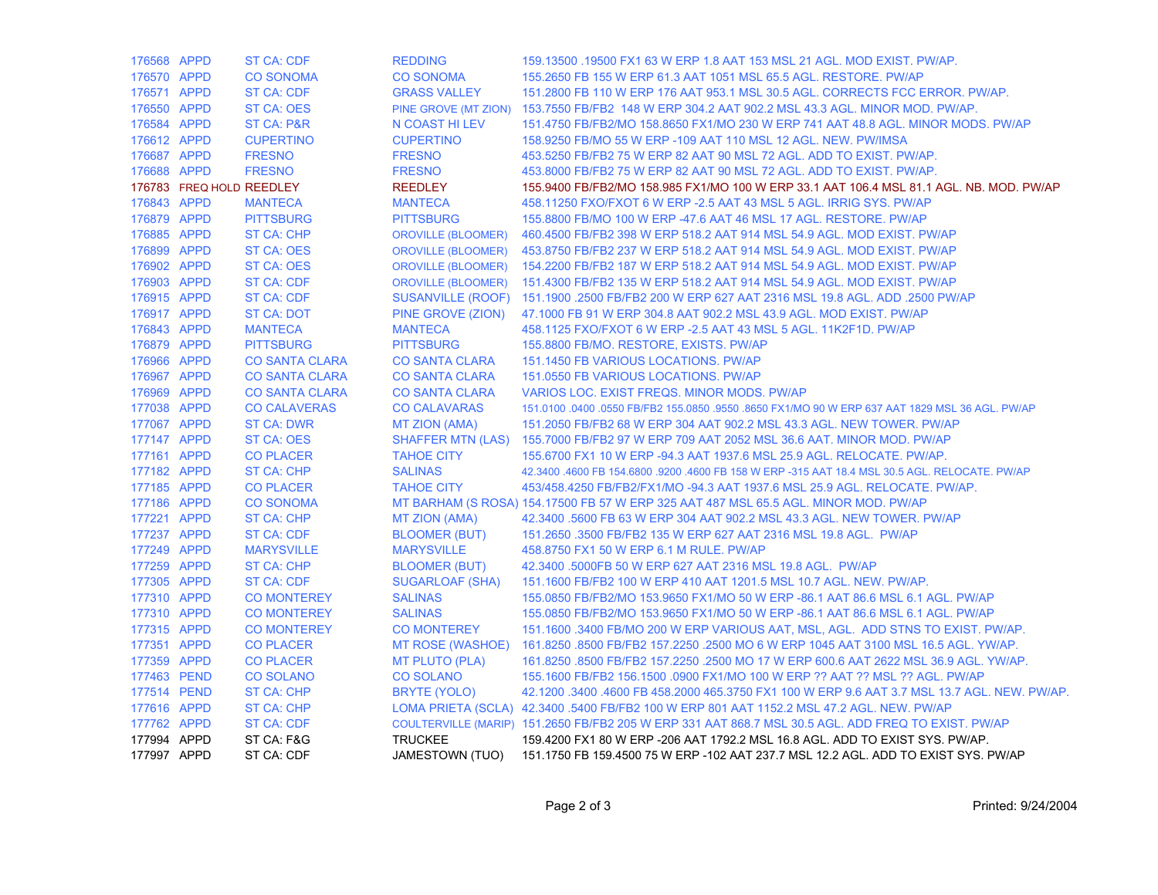| 176568 APPD |                          | <b>ST CA: CDF</b>     | <b>REDDING</b>            | 159.13500 .19500 FX1 63 W ERP 1.8 AAT 153 MSL 21 AGL. MOD EXIST. PW/AP.                             |
|-------------|--------------------------|-----------------------|---------------------------|-----------------------------------------------------------------------------------------------------|
| 176570 APPD |                          | <b>CO SONOMA</b>      | <b>CO SONOMA</b>          | 155,2650 FB 155 W ERP 61.3 AAT 1051 MSL 65.5 AGL, RESTORE, PW/AP                                    |
| 176571 APPD |                          | <b>ST CA: CDF</b>     | <b>GRASS VALLEY</b>       | 151,2800 FB 110 W ERP 176 AAT 953.1 MSL 30.5 AGL, CORRECTS FCC ERROR, PW/AP.                        |
| 176550 APPD |                          | <b>ST CA: OES</b>     |                           | PINE GROVE (MT ZION) 153.7550 FB/FB2 148 W ERP 304.2 AAT 902.2 MSL 43.3 AGL. MINOR MOD. PW/AP.      |
| 176584 APPD |                          | <b>ST CA: P&amp;R</b> | N COAST HI LEV            | 151.4750 FB/FB2/MO 158.8650 FX1/MO 230 W ERP 741 AAT 48.8 AGL. MINOR MODS. PW/AP                    |
| 176612 APPD |                          | <b>CUPERTINO</b>      | <b>CUPERTINO</b>          | 158.9250 FB/MO 55 W ERP -109 AAT 110 MSL 12 AGL. NEW. PW/IMSA                                       |
| 176687 APPD |                          | <b>FRESNO</b>         | <b>FRESNO</b>             | 453.5250 FB/FB2 75 W ERP 82 AAT 90 MSL 72 AGL. ADD TO EXIST. PW/AP.                                 |
| 176688 APPD |                          | <b>FRESNO</b>         | <b>FRESNO</b>             | 453.8000 FB/FB2 75 W ERP 82 AAT 90 MSL 72 AGL. ADD TO EXIST. PW/AP.                                 |
|             | 176783 FREQ HOLD REEDLEY |                       | <b>REEDLEY</b>            | 155.9400 FB/FB2/MO 158.985 FX1/MO 100 W ERP 33.1 AAT 106.4 MSL 81.1 AGL. NB. MOD. PW/AP             |
| 176843 APPD |                          | <b>MANTECA</b>        | <b>MANTECA</b>            | 458.11250 FXO/FXOT 6 W ERP - 2.5 AAT 43 MSL 5 AGL. IRRIG SYS. PW/AP                                 |
| 176879 APPD |                          | <b>PITTSBURG</b>      | <b>PITTSBURG</b>          | 155.8800 FB/MO 100 W ERP -47.6 AAT 46 MSL 17 AGL. RESTORE. PW/AP                                    |
| 176885 APPD |                          | <b>ST CA: CHP</b>     | <b>OROVILLE (BLOOMER)</b> | 460.4500 FB/FB2 398 W ERP 518.2 AAT 914 MSL 54.9 AGL. MOD EXIST. PW/AP                              |
| 176899 APPD |                          | ST CA: OES            |                           | OROVILLE (BLOOMER) 453.8750 FB/FB2 237 W ERP 518.2 AAT 914 MSL 54.9 AGL. MOD EXIST. PW/AP           |
| 176902 APPD |                          | <b>ST CA: OES</b>     |                           | OROVILLE (BLOOMER) 154.2200 FB/FB2 187 W ERP 518.2 AAT 914 MSL 54.9 AGL. MOD EXIST. PW/AP           |
| 176903 APPD |                          | <b>ST CA: CDF</b>     | <b>OROVILLE (BLOOMER)</b> | 151.4300 FB/FB2 135 W ERP 518.2 AAT 914 MSL 54.9 AGL, MOD EXIST, PW/AP                              |
| 176915 APPD |                          | ST CA: CDF            |                           | SUSANVILLE (ROOF) 151.1900 .2500 FB/FB2 200 W ERP 627 AAT 2316 MSL 19.8 AGL. ADD .2500 PW/AP        |
| 176917 APPD |                          | <b>ST CA: DOT</b>     | PINE GROVE (ZION)         | 47.1000 FB 91 W ERP 304.8 AAT 902.2 MSL 43.9 AGL. MOD EXIST. PW/AP                                  |
| 176843 APPD |                          | <b>MANTECA</b>        | <b>MANTECA</b>            | 458.1125 FXO/FXOT 6 W ERP - 2.5 AAT 43 MSL 5 AGL. 11K2F1D. PW/AP                                    |
| 176879 APPD |                          | <b>PITTSBURG</b>      | <b>PITTSBURG</b>          | 155.8800 FB/MO. RESTORE, EXISTS. PW/AP                                                              |
| 176966 APPD |                          | <b>CO SANTA CLARA</b> | <b>CO SANTA CLARA</b>     | 151.1450 FB VARIOUS LOCATIONS. PW/AP                                                                |
| 176967 APPD |                          | <b>CO SANTA CLARA</b> | <b>CO SANTA CLARA</b>     | 151.0550 FB VARIOUS LOCATIONS. PW/AP                                                                |
| 176969 APPD |                          | <b>CO SANTA CLARA</b> | <b>CO SANTA CLARA</b>     | VARIOS LOC. EXIST FREQS. MINOR MODS. PW/AP                                                          |
| 177038 APPD |                          | <b>CO CALAVERAS</b>   | <b>CO CALAVARAS</b>       | 151.0100 .0400 .0550 FB/FB2 155.0850 .9550 .8650 FX1/MO 90 W ERP 637 AAT 1829 MSL 36 AGL. PW/AP     |
| 177067 APPD |                          | <b>ST CA: DWR</b>     | <b>MT ZION (AMA)</b>      | 151,2050 FB/FB2 68 W ERP 304 AAT 902.2 MSL 43.3 AGL, NEW TOWER, PW/AP                               |
| 177147 APPD |                          | <b>ST CA: OES</b>     |                           | SHAFFER MTN (LAS) 155.7000 FB/FB2 97 W ERP 709 AAT 2052 MSL 36.6 AAT. MINOR MOD. PW/AP              |
| 177161 APPD |                          | <b>CO PLACER</b>      | <b>TAHOE CITY</b>         | 155.6700 FX1 10 W ERP -94.3 AAT 1937.6 MSL 25.9 AGL. RELOCATE. PW/AP.                               |
| 177182 APPD |                          | <b>ST CA: CHP</b>     | <b>SALINAS</b>            | 42.3400 .4600 FB 154.6800 .9200 .4600 FB 158 W ERP -315 AAT 18.4 MSL 30.5 AGL. RELOCATE. PW/AP      |
| 177185 APPD |                          | <b>CO PLACER</b>      | <b>TAHOE CITY</b>         | 453/458.4250 FB/FB2/FX1/MO -94.3 AAT 1937.6 MSL 25.9 AGL. RELOCATE. PW/AP.                          |
| 177186 APPD |                          | <b>CO SONOMA</b>      |                           | MT BARHAM (S ROSA) 154.17500 FB 57 W ERP 325 AAT 487 MSL 65.5 AGL. MINOR MOD. PW/AP                 |
| 177221 APPD |                          | <b>ST CA: CHP</b>     | <b>MT ZION (AMA)</b>      | 42.3400 .5600 FB 63 W ERP 304 AAT 902.2 MSL 43.3 AGL. NEW TOWER. PW/AP                              |
| 177237 APPD |                          | <b>ST CA: CDF</b>     | <b>BLOOMER (BUT)</b>      | 151.2650 .3500 FB/FB2 135 W ERP 627 AAT 2316 MSL 19.8 AGL. PW/AP                                    |
| 177249 APPD |                          | <b>MARYSVILLE</b>     | <b>MARYSVILLE</b>         | 458.8750 FX1 50 W ERP 6.1 M RULE. PW/AP                                                             |
| 177259 APPD |                          | <b>ST CA: CHP</b>     | <b>BLOOMER (BUT)</b>      | 42.3400 .5000FB 50 W ERP 627 AAT 2316 MSL 19.8 AGL. PW/AP                                           |
| 177305 APPD |                          | <b>ST CA: CDF</b>     | <b>SUGARLOAF (SHA)</b>    | 151.1600 FB/FB2 100 W ERP 410 AAT 1201.5 MSL 10.7 AGL, NEW, PW/AP.                                  |
| 177310 APPD |                          | <b>CO MONTEREY</b>    | <b>SALINAS</b>            | 155,0850 FB/FB2/MO 153,9650 FX1/MO 50 W ERP -86.1 AAT 86.6 MSL 6.1 AGL, PW/AP                       |
| 177310 APPD |                          | <b>CO MONTEREY</b>    | <b>SALINAS</b>            | 155,0850 FB/FB2/MO 153,9650 FX1/MO 50 W ERP -86.1 AAT 86.6 MSL 6.1 AGL, PW/AP                       |
| 177315 APPD |                          | <b>CO MONTEREY</b>    | <b>CO MONTEREY</b>        | 151.1600 .3400 FB/MO 200 W ERP VARIOUS AAT, MSL, AGL. ADD STNS TO EXIST. PW/AP.                     |
| 177351 APPD |                          | <b>CO PLACER</b>      |                           | MT ROSE (WASHOE) 161.8250 .8500 FB/FB2 157.2250 .2500 MO 6 W ERP 1045 AAT 3100 MSL 16.5 AGL. YW/AP. |
| 177359 APPD |                          | <b>CO PLACER</b>      | <b>MT PLUTO (PLA)</b>     | 161.8250 .8500 FB/FB2 157.2250 .2500 MO 17 W ERP 600.6 AAT 2622 MSL 36.9 AGL. YW/AP.                |
|             | 177463 PEND              | <b>CO SOLANO</b>      | <b>CO SOLANO</b>          | 155.1600 FB/FB2 156.1500 .0900 FX1/MO 100 W ERP ?? AAT ?? MSL ?? AGL. PW/AP                         |
|             | 177514 PEND              | <b>ST CA: CHP</b>     | BRYTE (YOLO)              | 42.1200 .3400 .4600 FB 458.2000 465.3750 FX1 100 W ERP 9.6 AAT 3.7 MSL 13.7 AGL. NEW. PW/AP.        |
| 177616 APPD |                          | <b>ST CA: CHP</b>     |                           | LOMA PRIETA (SCLA) 42.3400 .5400 FB/FB2 100 W ERP 801 AAT 1152.2 MSL 47.2 AGL. NEW. PW/AP           |
| 177762 APPD |                          | <b>ST CA: CDF</b>     |                           | COULTERVILLE (MARIP) 151.2650 FB/FB2 205 W ERP 331 AAT 868.7 MSL 30.5 AGL. ADD FREQ TO EXIST. PW/AP |
| 177994 APPD |                          | ST CA: F&G            | <b>TRUCKEE</b>            | 159.4200 FX1 80 W ERP -206 AAT 1792.2 MSL 16.8 AGL. ADD TO EXIST SYS. PW/AP.                        |
| 177997 APPD |                          | ST CA: CDF            | JAMESTOWN (TUO)           | 151.1750 FB 159.4500 75 W ERP -102 AAT 237.7 MSL 12.2 AGL. ADD TO EXIST SYS. PW/AP                  |